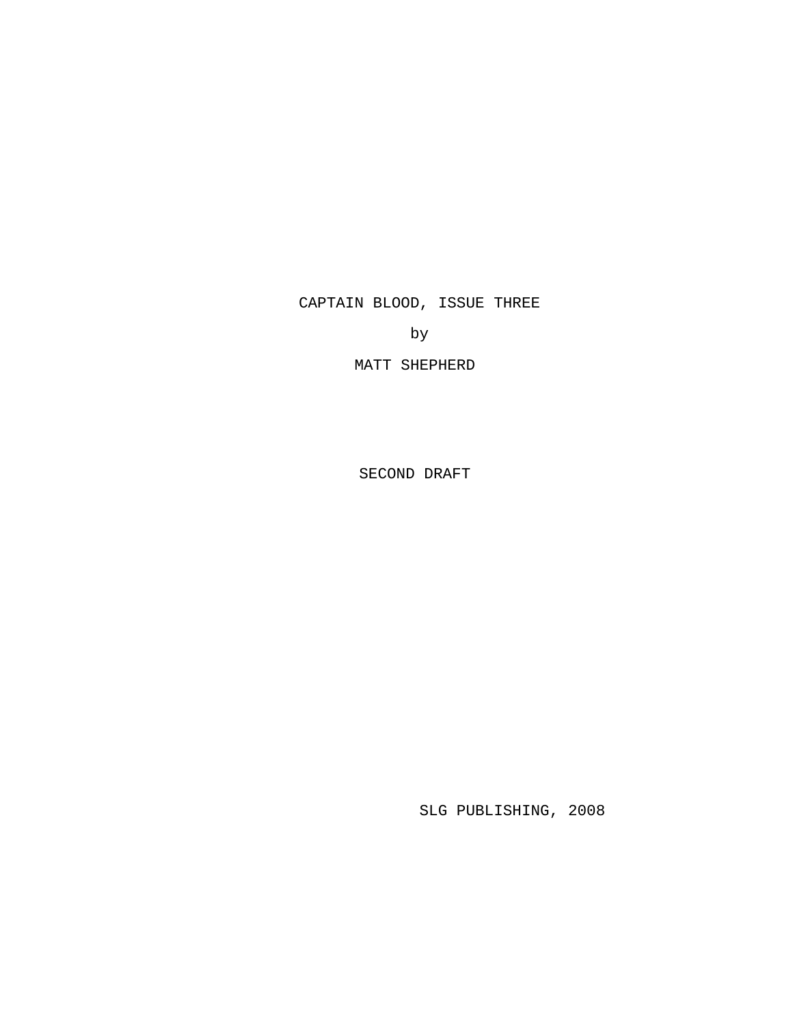CAPTAIN BLOOD, ISSUE THREE

by

MATT SHEPHERD

SECOND DRAFT

SLG PUBLISHING, 2008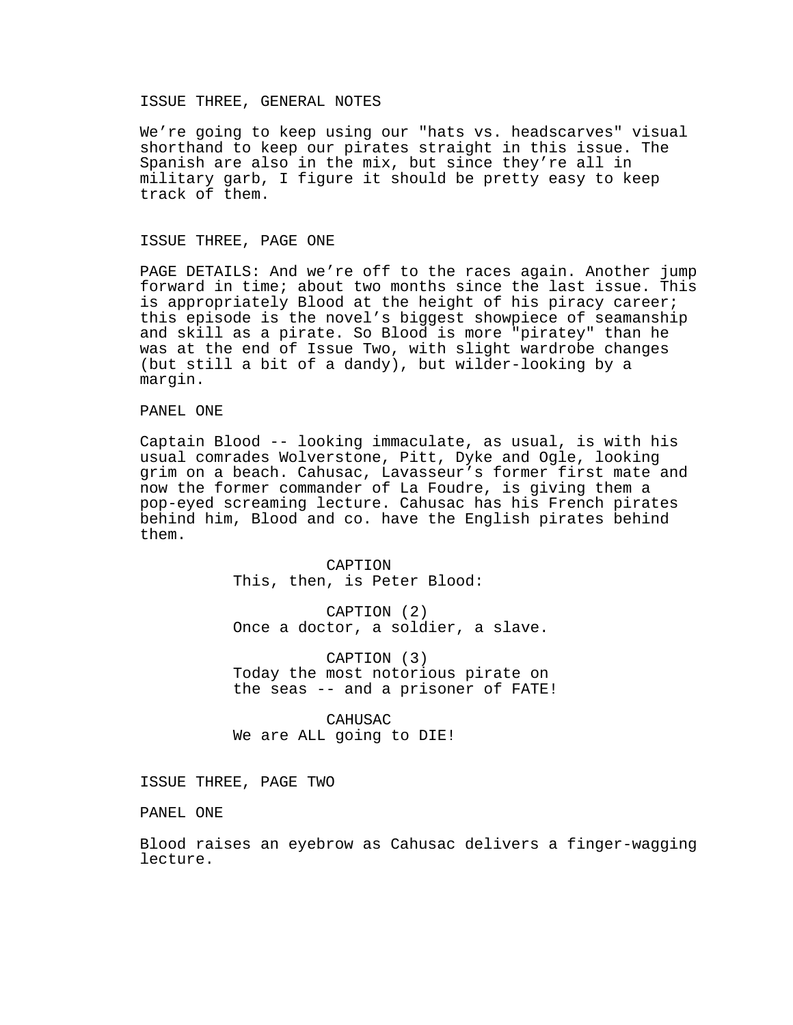## ISSUE THREE, GENERAL NOTES

We're going to keep using our "hats vs. headscarves" visual shorthand to keep our pirates straight in this issue. The Spanish are also in the mix, but since they're all in military garb, I figure it should be pretty easy to keep track of them.

## ISSUE THREE, PAGE ONE

PAGE DETAILS: And we're off to the races again. Another jump forward in time; about two months since the last issue. This is appropriately Blood at the height of his piracy career; this episode is the novel's biggest showpiece of seamanship and skill as a pirate. So Blood is more "piratey" than he was at the end of Issue Two, with slight wardrobe changes (but still a bit of a dandy), but wilder-looking by a margin.

## PANEL ONE

Captain Blood -- looking immaculate, as usual, is with his usual comrades Wolverstone, Pitt, Dyke and Ogle, looking grim on a beach. Cahusac, Lavasseur's former first mate and now the former commander of La Foudre, is giving them a pop-eyed screaming lecture. Cahusac has his French pirates behind him, Blood and co. have the English pirates behind them.

> CAPTION This, then, is Peter Blood:

CAPTION (2) Once a doctor, a soldier, a slave.

CAPTION (3) Today the most notorious pirate on the seas -- and a prisoner of FATE!

CAHUSAC We are ALL going to DIE!

ISSUE THREE, PAGE TWO

PANEL ONE

Blood raises an eyebrow as Cahusac delivers a finger-wagging lecture.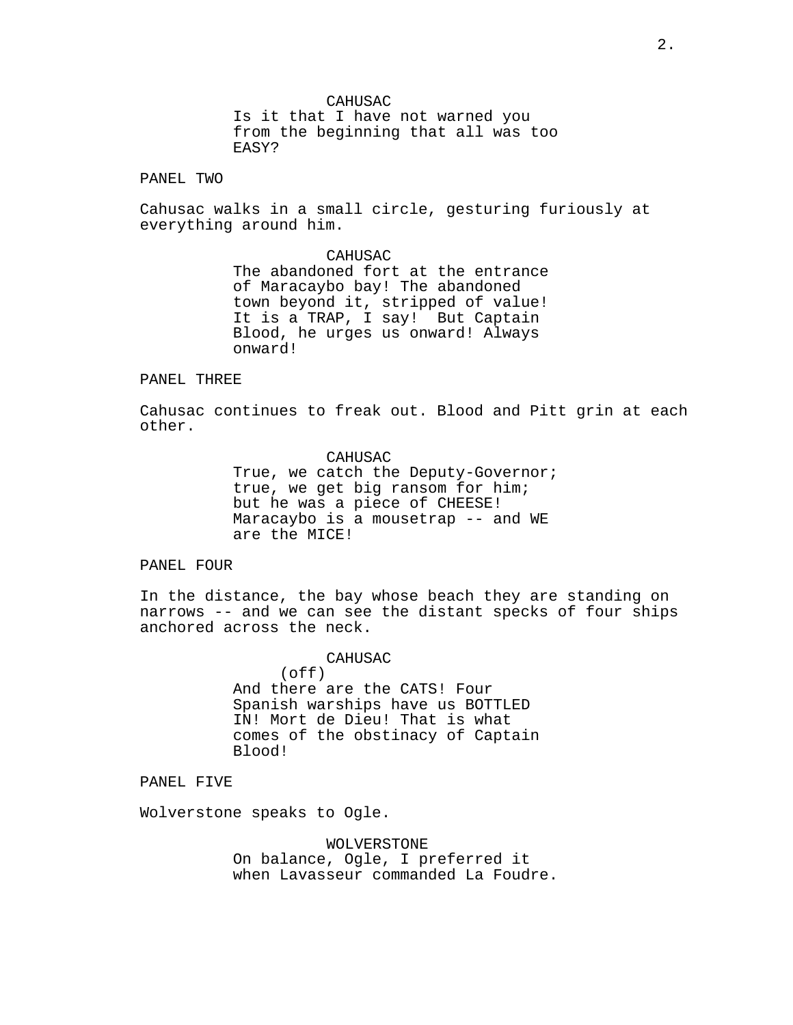CAHUSAC

Is it that I have not warned you from the beginning that all was too EASY?

PANEL TWO

Cahusac walks in a small circle, gesturing furiously at everything around him.

> CAHUSAC The abandoned fort at the entrance of Maracaybo bay! The abandoned town beyond it, stripped of value! It is a TRAP, I say! But Captain Blood, he urges us onward! Always onward!

#### PANEL THREE

Cahusac continues to freak out. Blood and Pitt grin at each other.

> CAHUSAC True, we catch the Deputy-Governor; true, we get big ransom for him; but he was a piece of CHEESE! Maracaybo is a mousetrap -- and WE are the MICE!

PANEL FOUR

In the distance, the bay whose beach they are standing on narrows -- and we can see the distant specks of four ships anchored across the neck.

> CAHUSAC  $($ off $)$ And there are the CATS! Four Spanish warships have us BOTTLED IN! Mort de Dieu! That is what comes of the obstinacy of Captain Blood!

PANEL FIVE

Wolverstone speaks to Ogle.

WOLVERSTONE On balance, Ogle, I preferred it when Lavasseur commanded La Foudre.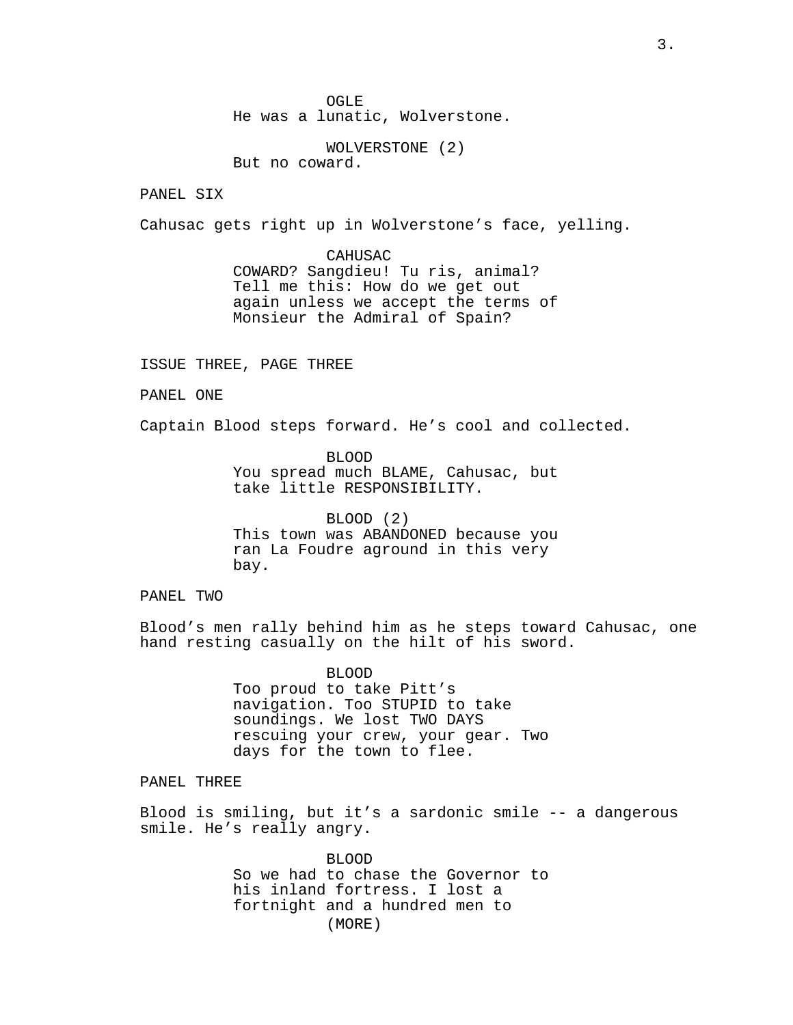OGLE He was a lunatic, Wolverstone.

WOLVERSTONE (2) But no coward.

PANEL SIX

Cahusac gets right up in Wolverstone's face, yelling.

CAHUSAC COWARD? Sangdieu! Tu ris, animal? Tell me this: How do we get out again unless we accept the terms of Monsieur the Admiral of Spain?

ISSUE THREE, PAGE THREE

PANEL ONE

Captain Blood steps forward. He's cool and collected.

BLOOD You spread much BLAME, Cahusac, but take little RESPONSIBILITY.

BLOOD (2) This town was ABANDONED because you ran La Foudre aground in this very bay.

PANEL TWO

Blood's men rally behind him as he steps toward Cahusac, one hand resting casually on the hilt of his sword.

> BLOOD Too proud to take Pitt's navigation. Too STUPID to take soundings. We lost TWO DAYS rescuing your crew, your gear. Two days for the town to flee.

PANEL THREE

Blood is smiling, but it's a sardonic smile -- a dangerous smile. He's really angry.

> BLOOD So we had to chase the Governor to his inland fortress. I lost a fortnight and a hundred men to (MORE)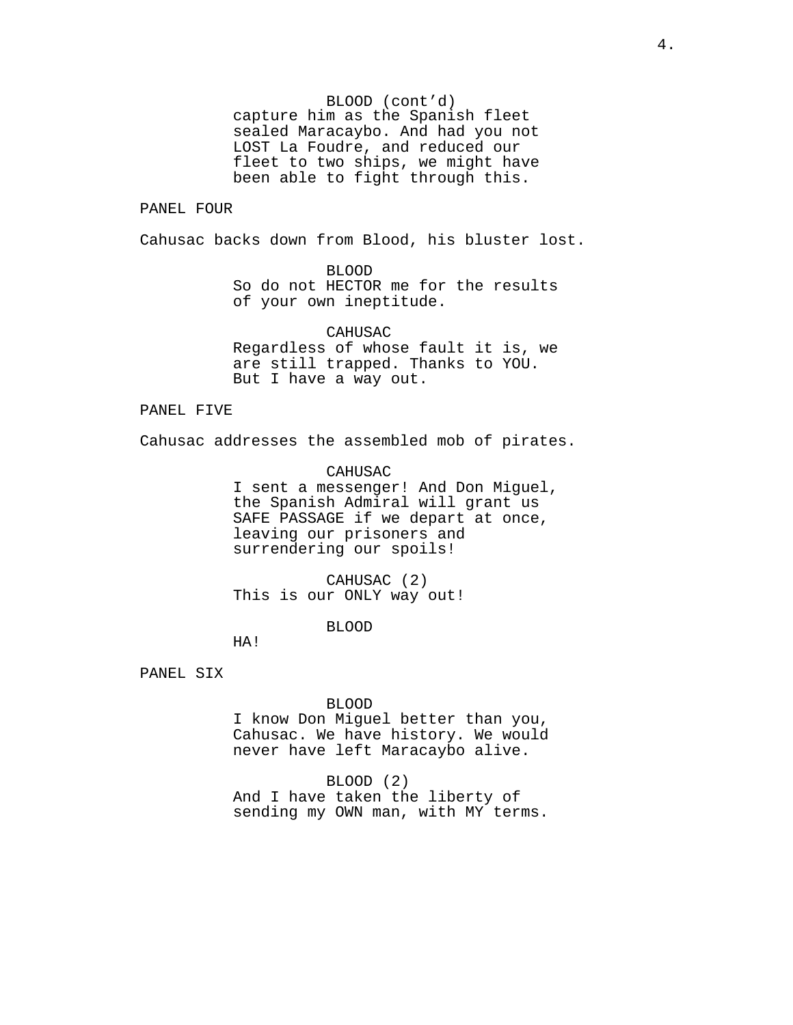BLOOD (cont'd)

capture him as the Spanish fleet sealed Maracaybo. And had you not LOST La Foudre, and reduced our fleet to two ships, we might have been able to fight through this.

# PANEL FOUR

Cahusac backs down from Blood, his bluster lost.

BLOOD

So do not HECTOR me for the results of your own ineptitude.

CAHUSAC Regardless of whose fault it is, we are still trapped. Thanks to YOU. But I have a way out.

### PANEL FIVE

Cahusac addresses the assembled mob of pirates.

CAHUSAC I sent a messenger! And Don Miguel, the Spanish Admiral will grant us SAFE PASSAGE if we depart at once, leaving our prisoners and surrendering our spoils!

CAHUSAC (2) This is our ONLY way out!

BLOOD

HA!

PANEL SIX

### BLOOD

I know Don Miguel better than you, Cahusac. We have history. We would never have left Maracaybo alive.

# BLOOD (2)

And I have taken the liberty of sending my OWN man, with MY terms.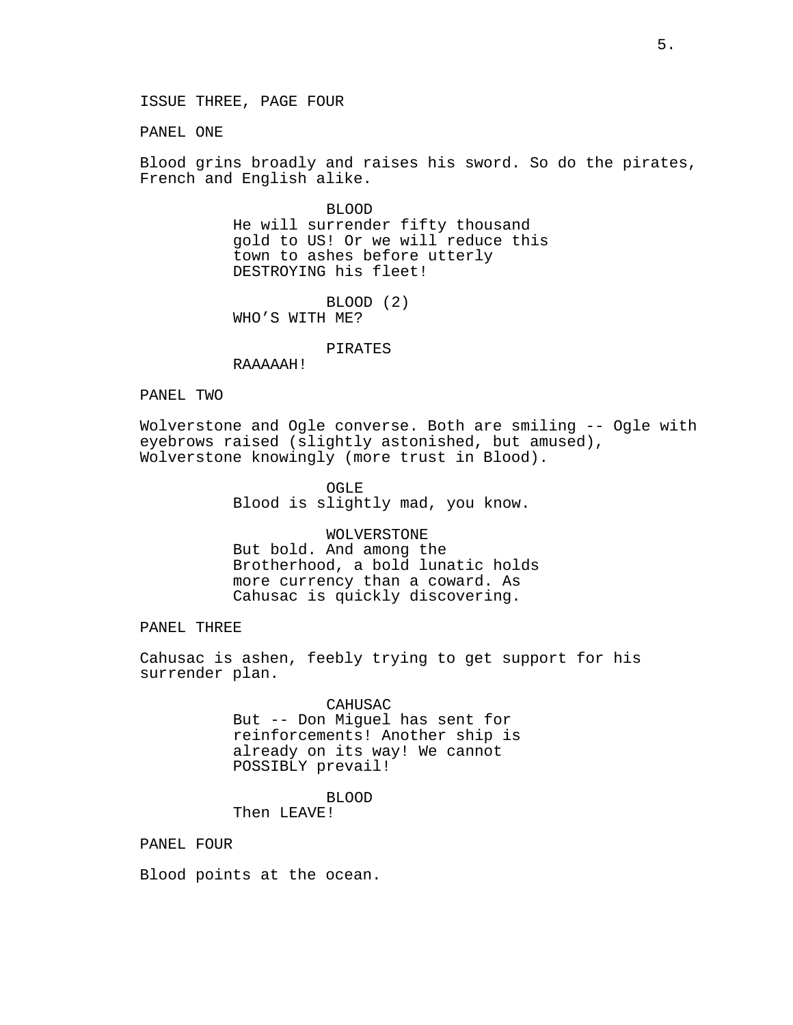PANEL ONE

Blood grins broadly and raises his sword. So do the pirates, French and English alike.

> BLOOD He will surrender fifty thousand gold to US! Or we will reduce this town to ashes before utterly DESTROYING his fleet!

BLOOD (2) WHO'S WITH ME?

### PIRATES

RAAAAAH!

# PANEL TWO

Wolverstone and Ogle converse. Both are smiling -- Ogle with eyebrows raised (slightly astonished, but amused), Wolverstone knowingly (more trust in Blood).

> OGLE Blood is slightly mad, you know.

WOLVERSTONE But bold. And among the Brotherhood, a bold lunatic holds more currency than a coward. As Cahusac is quickly discovering.

PANEL THREE

Cahusac is ashen, feebly trying to get support for his surrender plan.

> CAHUSAC But -- Don Miguel has sent for reinforcements! Another ship is already on its way! We cannot POSSIBLY prevail!

> > BLOOD

Then LEAVE!

PANEL FOUR

Blood points at the ocean.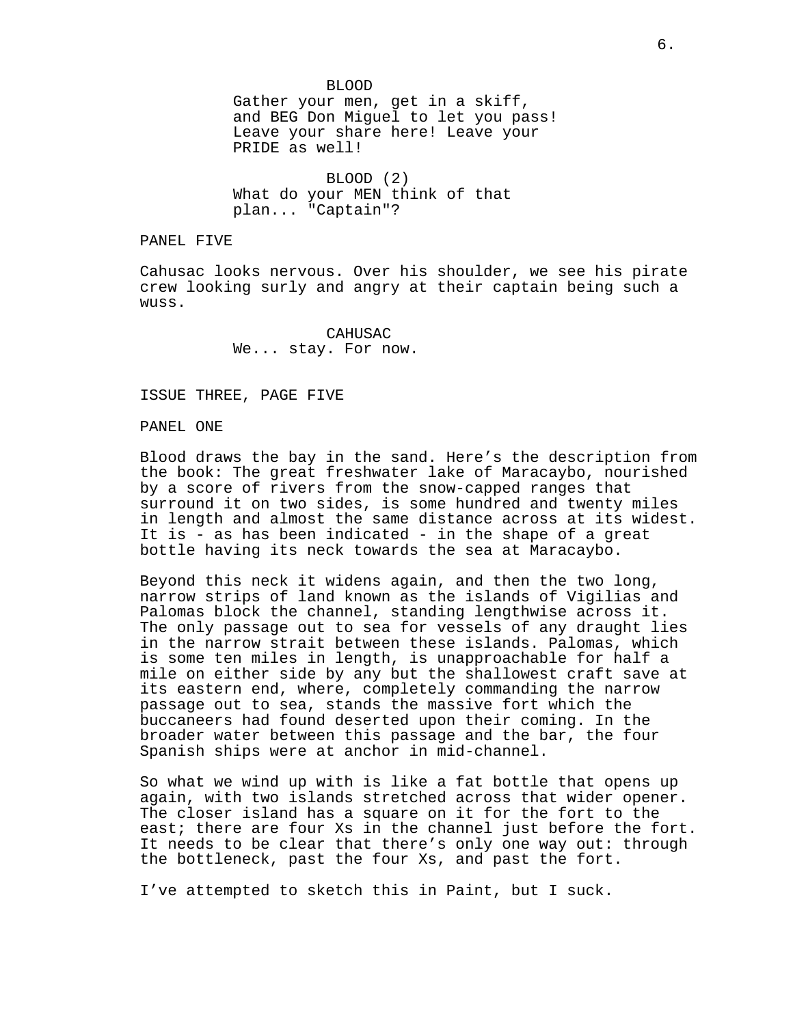BLOOD Gather your men, get in a skiff, and BEG Don Miguel to let you pass! Leave your share here! Leave your PRIDE as well!

BLOOD (2) What do your MEN think of that plan... "Captain"?

PANEL FIVE

Cahusac looks nervous. Over his shoulder, we see his pirate crew looking surly and angry at their captain being such a wuss.

> CAHUSAC We... stay. For now.

ISSUE THREE, PAGE FIVE

#### PANEL ONE

Blood draws the bay in the sand. Here's the description from the book: The great freshwater lake of Maracaybo, nourished by a score of rivers from the snow-capped ranges that surround it on two sides, is some hundred and twenty miles in length and almost the same distance across at its widest. It is - as has been indicated - in the shape of a great bottle having its neck towards the sea at Maracaybo.

Beyond this neck it widens again, and then the two long, narrow strips of land known as the islands of Vigilias and Palomas block the channel, standing lengthwise across it. The only passage out to sea for vessels of any draught lies in the narrow strait between these islands. Palomas, which is some ten miles in length, is unapproachable for half a mile on either side by any but the shallowest craft save at its eastern end, where, completely commanding the narrow passage out to sea, stands the massive fort which the buccaneers had found deserted upon their coming. In the broader water between this passage and the bar, the four Spanish ships were at anchor in mid-channel.

So what we wind up with is like a fat bottle that opens up again, with two islands stretched across that wider opener. The closer island has a square on it for the fort to the east; there are four Xs in the channel just before the fort. It needs to be clear that there's only one way out: through the bottleneck, past the four Xs, and past the fort.

I've attempted to sketch this in Paint, but I suck.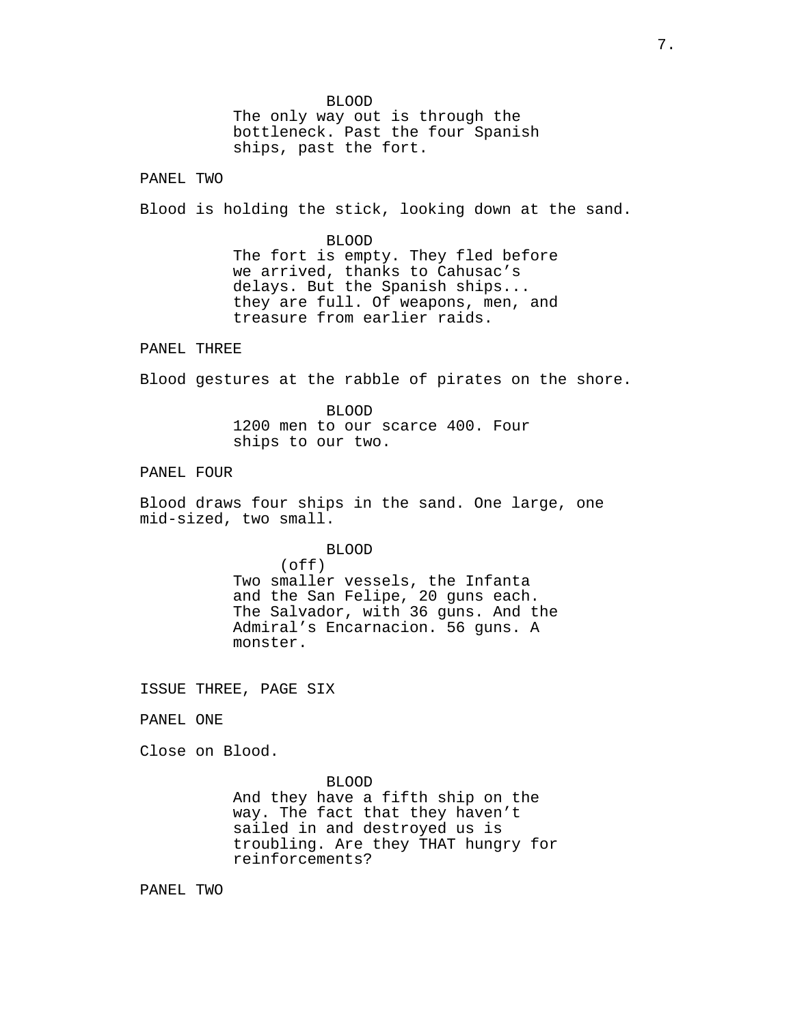BLOOD The only way out is through the bottleneck. Past the four Spanish ships, past the fort.

PANEL TWO

Blood is holding the stick, looking down at the sand.

BLOOD The fort is empty. They fled before we arrived, thanks to Cahusac's delays. But the Spanish ships... they are full. Of weapons, men, and treasure from earlier raids.

## PANEL THREE

Blood gestures at the rabble of pirates on the shore.

BLOOD 1200 men to our scarce 400. Four ships to our two.

# PANEL FOUR

Blood draws four ships in the sand. One large, one mid-sized, two small.

BLOOD

(off) Two smaller vessels, the Infanta and the San Felipe, 20 guns each. The Salvador, with 36 guns. And the Admiral's Encarnacion. 56 guns. A monster.

ISSUE THREE, PAGE SIX

PANEL ONE

Close on Blood.

BLOOD

And they have a fifth ship on the way. The fact that they haven't sailed in and destroyed us is troubling. Are they THAT hungry for reinforcements?

PANEL TWO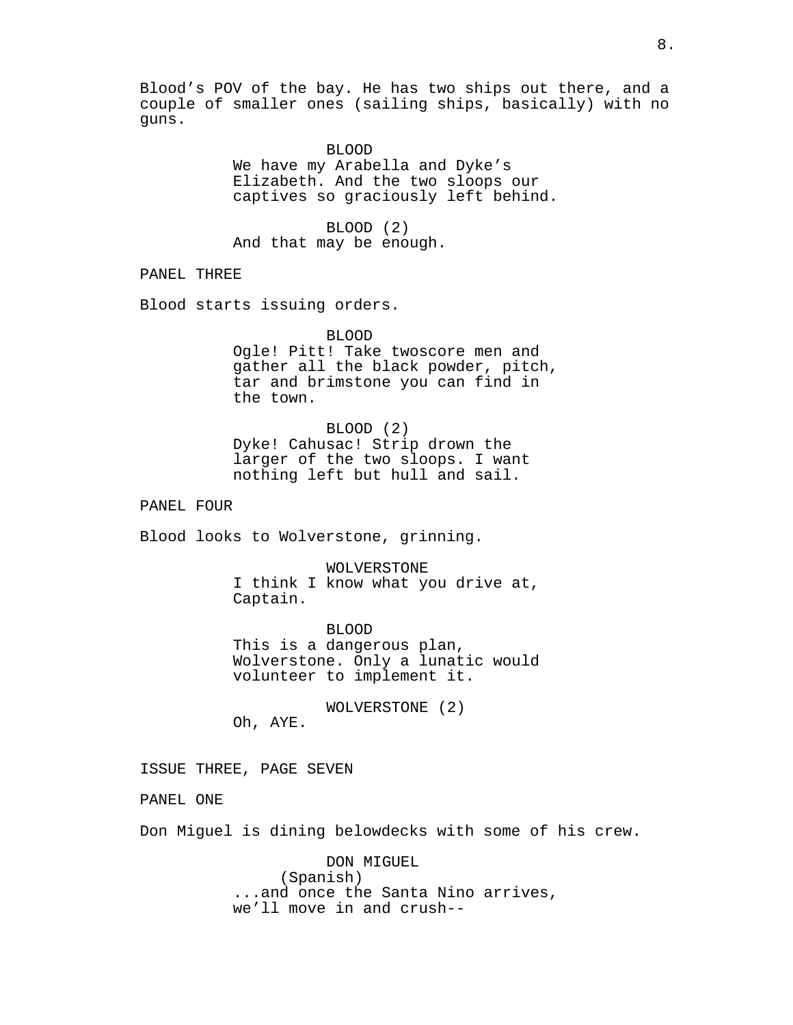Blood's POV of the bay. He has two ships out there, and a couple of smaller ones (sailing ships, basically) with no guns.

BLOOD

We have my Arabella and Dyke's Elizabeth. And the two sloops our captives so graciously left behind.

BLOOD (2) And that may be enough.

PANEL THREE

Blood starts issuing orders.

BLOOD Ogle! Pitt! Take twoscore men and gather all the black powder, pitch, tar and brimstone you can find in the town.

BLOOD (2) Dyke! Cahusac! Strip drown the larger of the two sloops. I want nothing left but hull and sail.

PANEL FOUR

Blood looks to Wolverstone, grinning.

WOLVERSTONE I think I know what you drive at, Captain.

BLOOD This is a dangerous plan, Wolverstone. Only a lunatic would volunteer to implement it.

WOLVERSTONE (2)

Oh, AYE.

ISSUE THREE, PAGE SEVEN

PANEL ONE

Don Miguel is dining belowdecks with some of his crew.

DON MIGUEL (Spanish) ...and once the Santa Nino arrives, we'll move in and crush--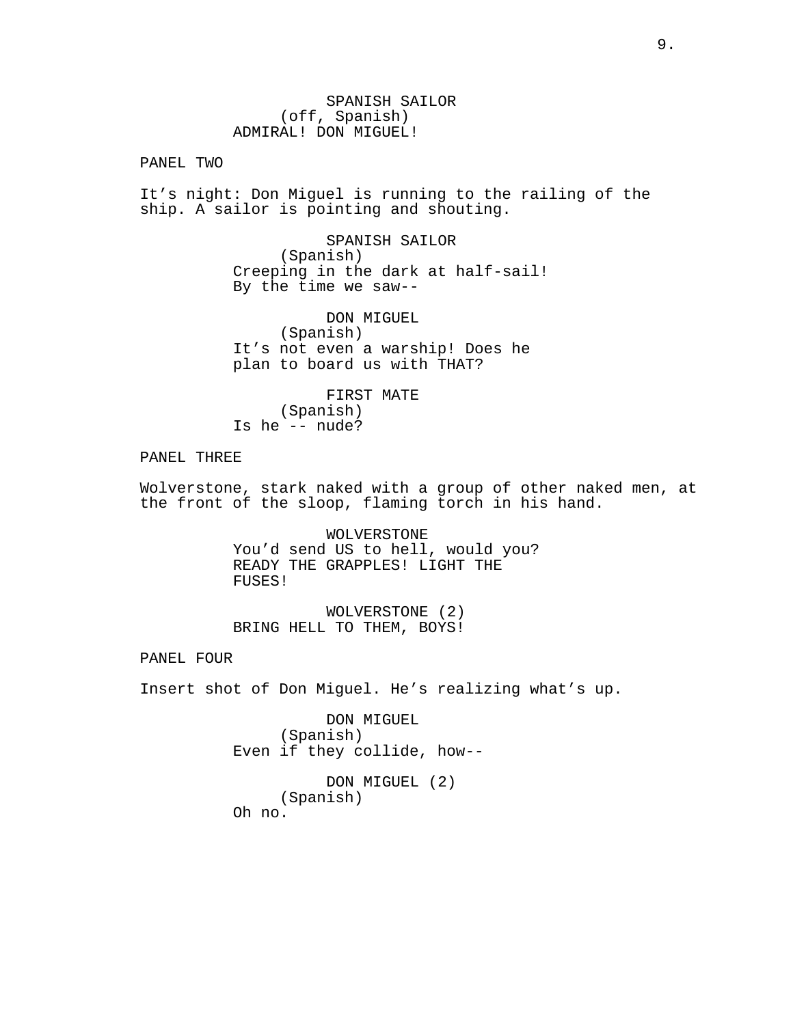SPANISH SAILOR (off, Spanish) ADMIRAL! DON MIGUEL!

PANEL TWO

It's night: Don Miguel is running to the railing of the ship. A sailor is pointing and shouting.

> SPANISH SAILOR (Spanish) Creeping in the dark at half-sail! By the time we saw--

DON MIGUEL (Spanish) It's not even a warship! Does he plan to board us with THAT?

FIRST MATE (Spanish) Is he -- nude?

PANEL THREE

Wolverstone, stark naked with a group of other naked men, at the front of the sloop, flaming torch in his hand.

> WOLVERSTONE You'd send US to hell, would you? READY THE GRAPPLES! LIGHT THE FUSES!

WOLVERSTONE (2) BRING HELL TO THEM, BOYS!

PANEL FOUR

Insert shot of Don Miguel. He's realizing what's up.

DON MIGUEL (Spanish) Even if they collide, how--

```
DON MIGUEL (2)
     (Spanish)
Oh no.
```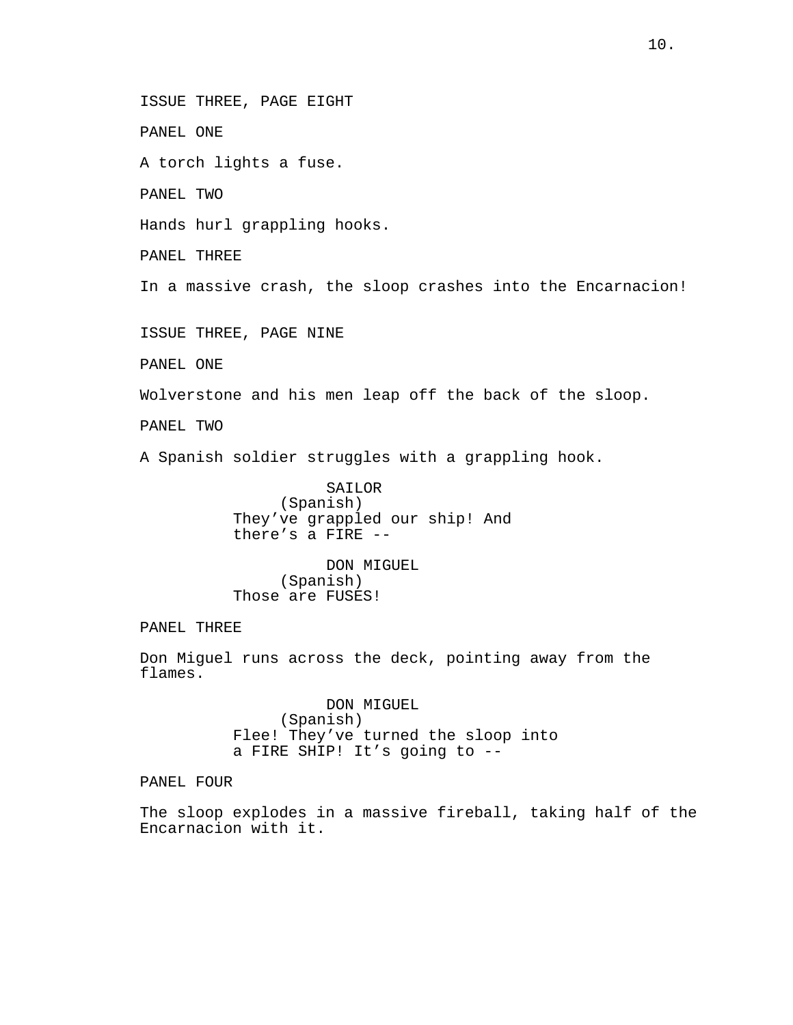ISSUE THREE, PAGE EIGHT

PANEL ONE

A torch lights a fuse.

PANEL TWO

Hands hurl grappling hooks.

PANEL THREE

In a massive crash, the sloop crashes into the Encarnacion!

ISSUE THREE, PAGE NINE

PANEL ONE

Wolverstone and his men leap off the back of the sloop.

PANEL TWO

A Spanish soldier struggles with a grappling hook.

SAILOR (Spanish) They've grappled our ship! And there's a FIRE --

DON MIGUEL (Spanish) Those are FUSES!

PANEL THREE

Don Miguel runs across the deck, pointing away from the flames.

> DON MIGUEL (Spanish) Flee! They've turned the sloop into a FIRE SHIP! It's going to --

PANEL FOUR

The sloop explodes in a massive fireball, taking half of the Encarnacion with it.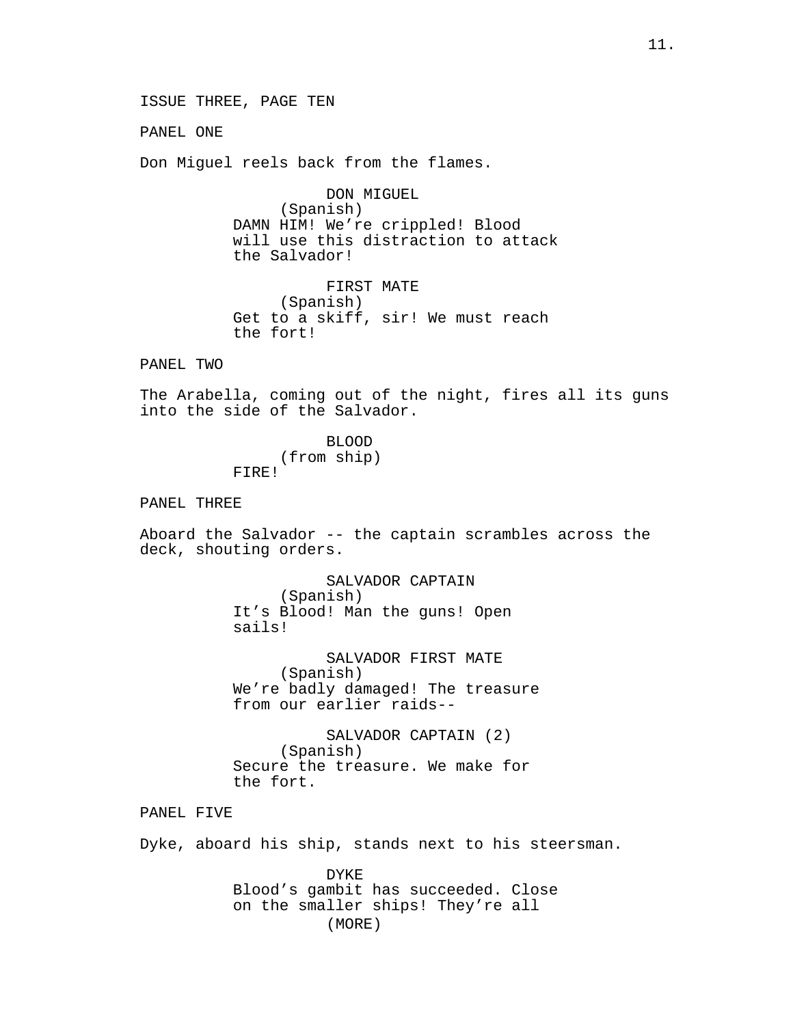ISSUE THREE, PAGE TEN

PANEL ONE

Don Miguel reels back from the flames.

DON MIGUEL (Spanish) DAMN HIM! We're crippled! Blood will use this distraction to attack the Salvador!

FIRST MATE (Spanish) Get to a skiff, sir! We must reach the fort!

PANEL TWO

The Arabella, coming out of the night, fires all its guns into the side of the Salvador.

> BLOOD (from ship) FIRE!

PANEL THREE

Aboard the Salvador -- the captain scrambles across the deck, shouting orders.

> SALVADOR CAPTAIN (Spanish) It's Blood! Man the guns! Open sails!

SALVADOR FIRST MATE (Spanish) We're badly damaged! The treasure from our earlier raids--

SALVADOR CAPTAIN (2) (Spanish) Secure the treasure. We make for the fort.

PANEL FIVE

Dyke, aboard his ship, stands next to his steersman.

DYKE Blood's gambit has succeeded. Close on the smaller ships! They're all (MORE)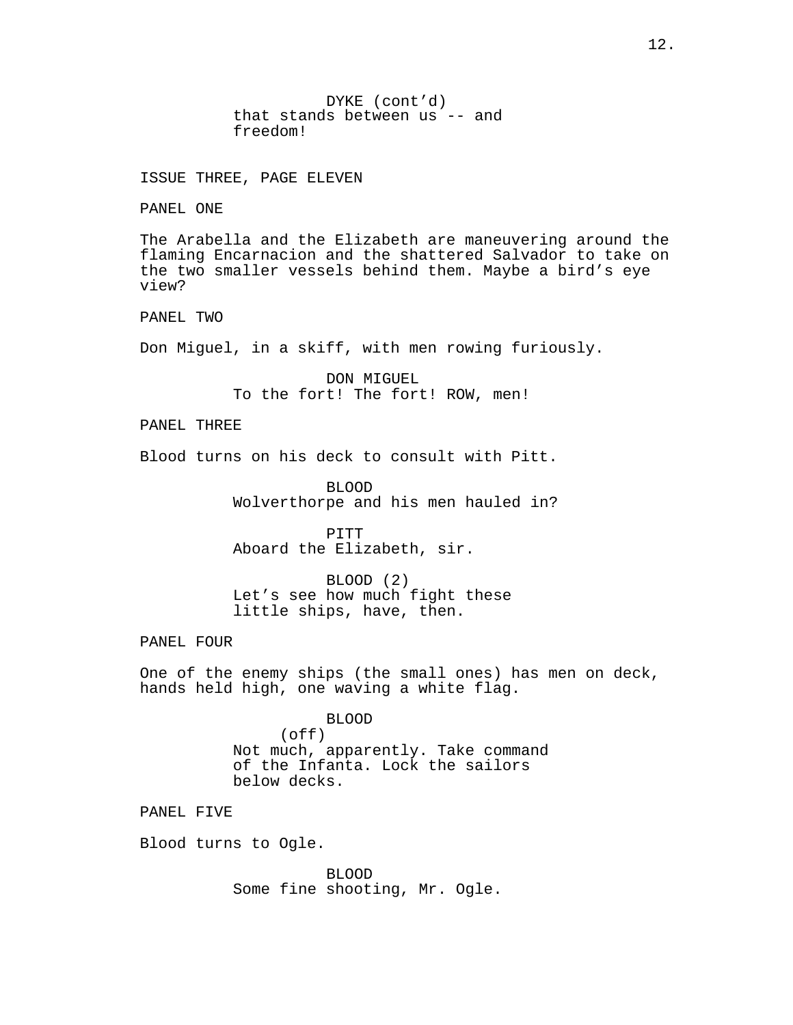DYKE (cont'd) that stands between us -- and freedom!

ISSUE THREE, PAGE ELEVEN

PANEL ONE

The Arabella and the Elizabeth are maneuvering around the flaming Encarnacion and the shattered Salvador to take on the two smaller vessels behind them. Maybe a bird's eye view?

PANEL TWO

Don Miguel, in a skiff, with men rowing furiously.

DON MIGUEL To the fort! The fort! ROW, men!

PANEL THREE

Blood turns on his deck to consult with Pitt.

BLOOD Wolverthorpe and his men hauled in?

PITT Aboard the Elizabeth, sir.

BLOOD (2) Let's see how much fight these little ships, have, then.

PANEL FOUR

One of the enemy ships (the small ones) has men on deck, hands held high, one waving a white flag.

> BLOOD (off) Not much, apparently. Take command of the Infanta. Lock the sailors below decks.

PANEL FIVE

Blood turns to Ogle.

BLOOD Some fine shooting, Mr. Ogle.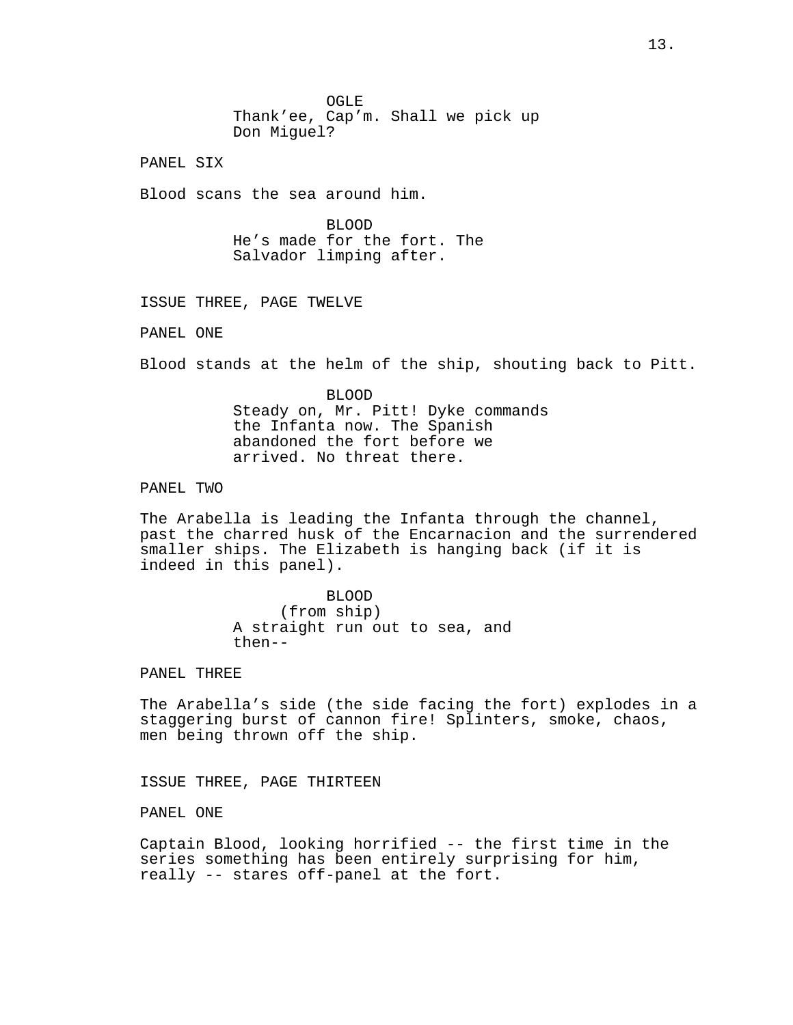OGLE Thank'ee, Cap'm. Shall we pick up Don Miguel?

PANEL SIX

Blood scans the sea around him.

BLOOD He's made for the fort. The Salvador limping after.

ISSUE THREE, PAGE TWELVE

PANEL ONE

Blood stands at the helm of the ship, shouting back to Pitt.

BLOOD Steady on, Mr. Pitt! Dyke commands the Infanta now. The Spanish abandoned the fort before we arrived. No threat there.

PANEL TWO

The Arabella is leading the Infanta through the channel, past the charred husk of the Encarnacion and the surrendered smaller ships. The Elizabeth is hanging back (if it is indeed in this panel).

> BLOOD (from ship) A straight run out to sea, and then--

PANEL THREE

The Arabella's side (the side facing the fort) explodes in a staggering burst of cannon fire! Splinters, smoke, chaos, men being thrown off the ship.

ISSUE THREE, PAGE THIRTEEN

PANEL ONE

Captain Blood, looking horrified -- the first time in the series something has been entirely surprising for him, really -- stares off-panel at the fort.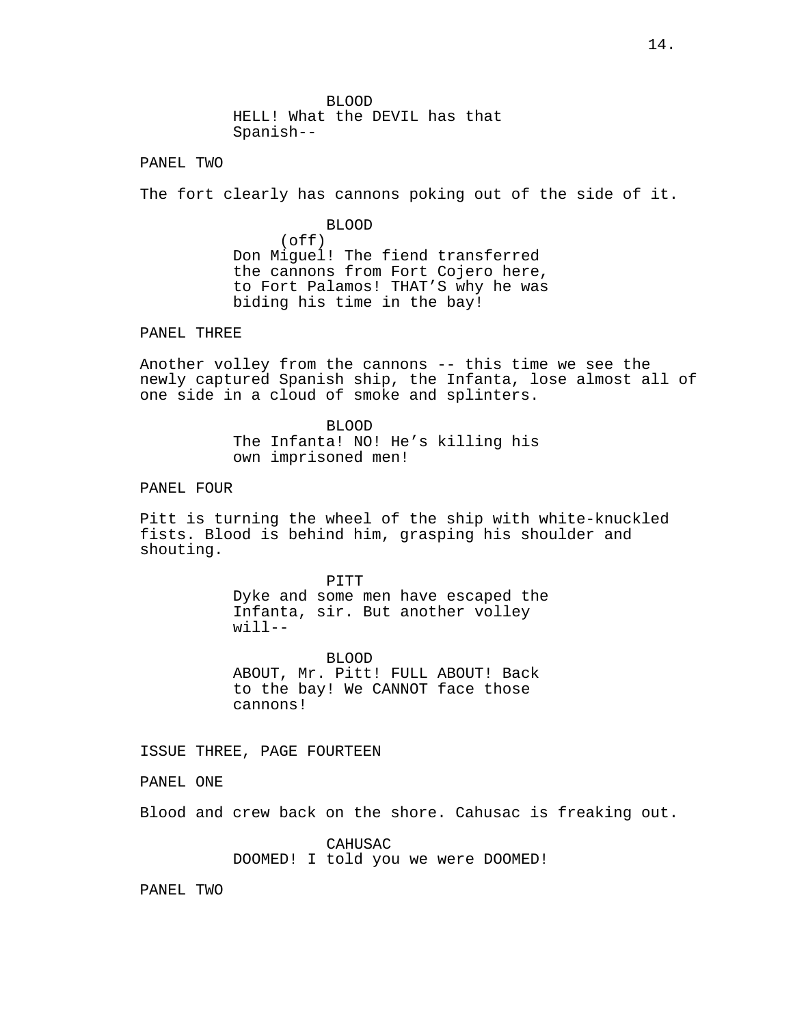BLOOD HELL! What the DEVIL has that Spanish--

PANEL TWO

The fort clearly has cannons poking out of the side of it.

BLOOD (off) Don Miguel! The fiend transferred the cannons from Fort Cojero here, to Fort Palamos! THAT'S why he was biding his time in the bay!

PANEL THREE

Another volley from the cannons -- this time we see the newly captured Spanish ship, the Infanta, lose almost all of one side in a cloud of smoke and splinters.

> BLOOD The Infanta! NO! He's killing his own imprisoned men!

PANEL FOUR

Pitt is turning the wheel of the ship with white-knuckled fists. Blood is behind him, grasping his shoulder and shouting.

> PITT Dyke and some men have escaped the Infanta, sir. But another volley will--

BLOOD ABOUT, Mr. Pitt! FULL ABOUT! Back to the bay! We CANNOT face those cannons!

ISSUE THREE, PAGE FOURTEEN

PANEL ONE

Blood and crew back on the shore. Cahusac is freaking out.

CAHUSAC DOOMED! I told you we were DOOMED!

PANEL TWO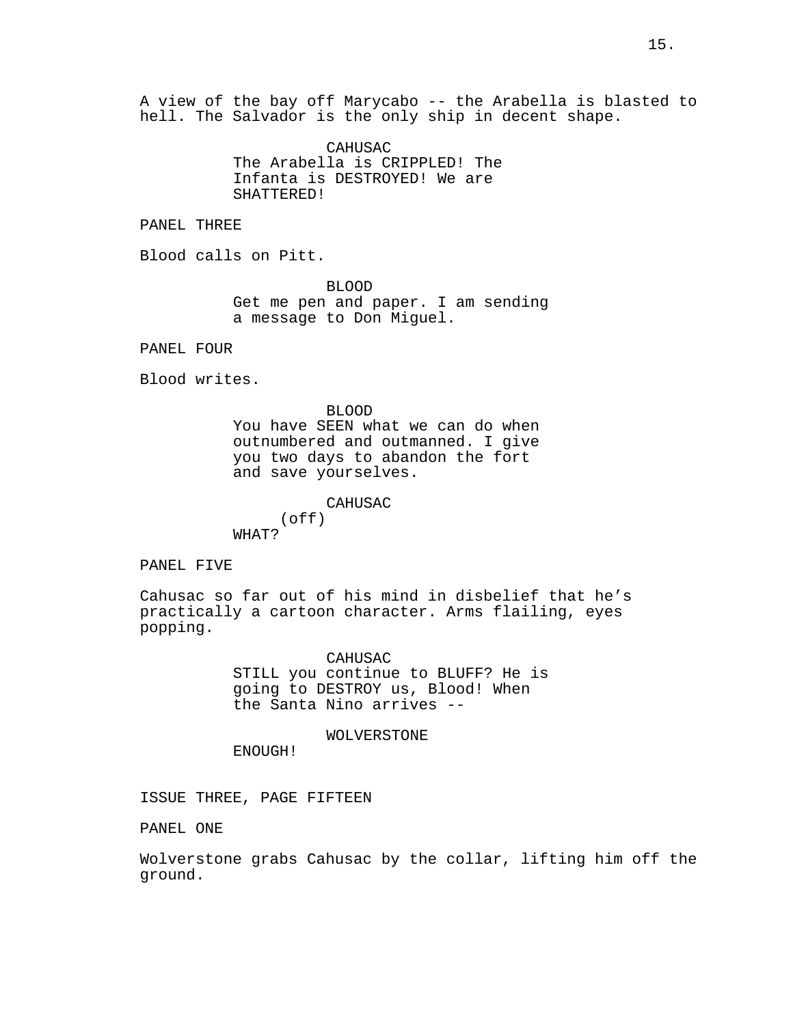A view of the bay off Marycabo -- the Arabella is blasted to hell. The Salvador is the only ship in decent shape.

> CAHUSAC The Arabella is CRIPPLED! The Infanta is DESTROYED! We are SHATTERED!

PANEL THREE

Blood calls on Pitt.

BLOOD Get me pen and paper. I am sending a message to Don Miguel.

PANEL FOUR

Blood writes.

BLOOD You have SEEN what we can do when outnumbered and outmanned. I give you two days to abandon the fort and save yourselves.

CAHUSAC (off) WHAT?

PANEL FIVE

Cahusac so far out of his mind in disbelief that he's practically a cartoon character. Arms flailing, eyes popping.

> CAHUSAC STILL you continue to BLUFF? He is going to DESTROY us, Blood! When the Santa Nino arrives --

> > WOLVERSTONE

ENOUGH!

ISSUE THREE, PAGE FIFTEEN

PANEL ONE

Wolverstone grabs Cahusac by the collar, lifting him off the ground.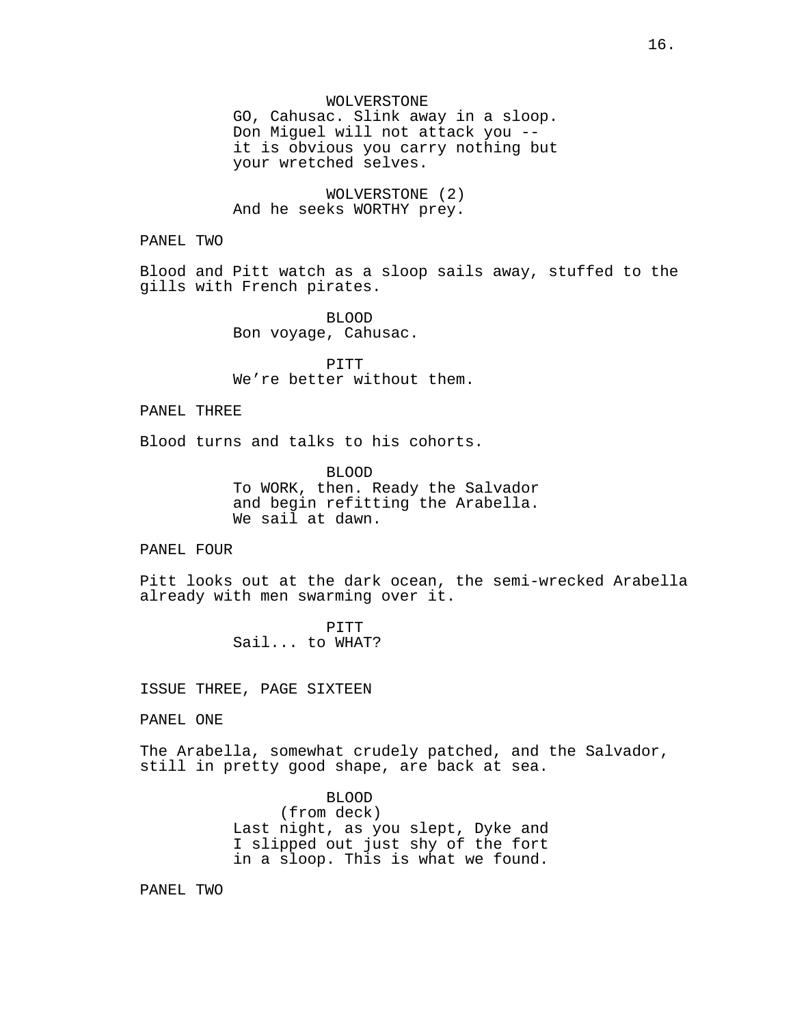GO, Cahusac. Slink away in a sloop. Don Miguel will not attack you - it is obvious you carry nothing but your wretched selves.

WOLVERSTONE (2) And he seeks WORTHY prey.

PANEL TWO

Blood and Pitt watch as a sloop sails away, stuffed to the gills with French pirates.

> BLOOD Bon voyage, Cahusac.

PITT We're better without them.

# PANEL THREE

Blood turns and talks to his cohorts.

BLOOD To WORK, then. Ready the Salvador and begin refitting the Arabella. We sail at dawn.

### PANEL FOUR

Pitt looks out at the dark ocean, the semi-wrecked Arabella already with men swarming over it.

> PITT Sail... to WHAT?

ISSUE THREE, PAGE SIXTEEN

PANEL ONE

The Arabella, somewhat crudely patched, and the Salvador, still in pretty good shape, are back at sea.

> BLOOD (from deck) Last night, as you slept, Dyke and I slipped out just shy of the fort in a sloop. This is what we found.

PANEL TWO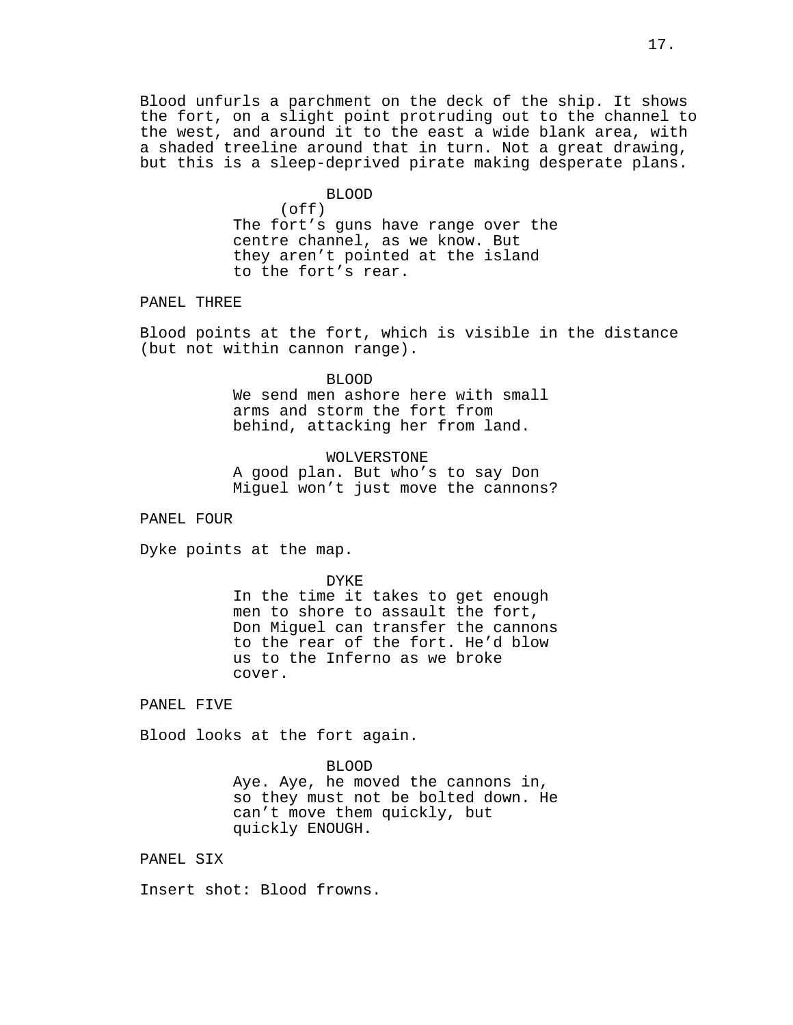Blood unfurls a parchment on the deck of the ship. It shows the fort, on a slight point protruding out to the channel to the west, and around it to the east a wide blank area, with a shaded treeline around that in turn. Not a great drawing, but this is a sleep-deprived pirate making desperate plans.

# BLOOD

 $($ off $)$ The fort's guns have range over the centre channel, as we know. But they aren't pointed at the island to the fort's rear.

# PANEL THREE

Blood points at the fort, which is visible in the distance (but not within cannon range).

#### BLOOD

We send men ashore here with small arms and storm the fort from behind, attacking her from land.

WOLVERSTONE A good plan. But who's to say Don Miguel won't just move the cannons?

PANEL FOUR

Dyke points at the map.

DYKE In the time it takes to get enough men to shore to assault the fort, Don Miguel can transfer the cannons to the rear of the fort. He'd blow us to the Inferno as we broke cover.

PANEL FIVE

Blood looks at the fort again.

### BLOOD

Aye. Aye, he moved the cannons in, so they must not be bolted down. He can't move them quickly, but quickly ENOUGH.

PANEL SIX

Insert shot: Blood frowns.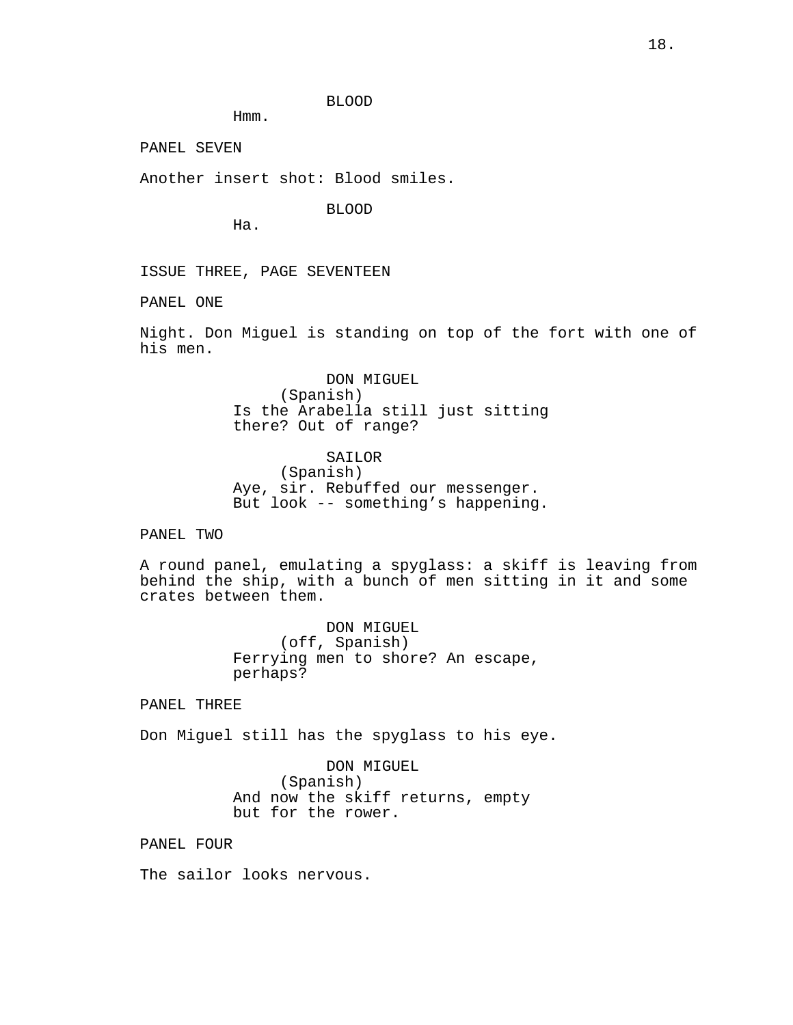BLOOD

Hmm.

PANEL SEVEN

Another insert shot: Blood smiles.

BLOOD

Ha.

ISSUE THREE, PAGE SEVENTEEN

PANEL ONE

Night. Don Miguel is standing on top of the fort with one of his men.

> DON MIGUEL (Spanish) Is the Arabella still just sitting there? Out of range?

> SAILOR (Spanish) Aye, sir. Rebuffed our messenger. But look -- something's happening.

PANEL TWO

A round panel, emulating a spyglass: a skiff is leaving from behind the ship, with a bunch of men sitting in it and some crates between them.

> DON MIGUEL (off, Spanish) Ferrying men to shore? An escape, perhaps?

PANEL THREE

Don Miguel still has the spyglass to his eye.

DON MIGUEL (Spanish) And now the skiff returns, empty but for the rower.

PANEL FOUR

The sailor looks nervous.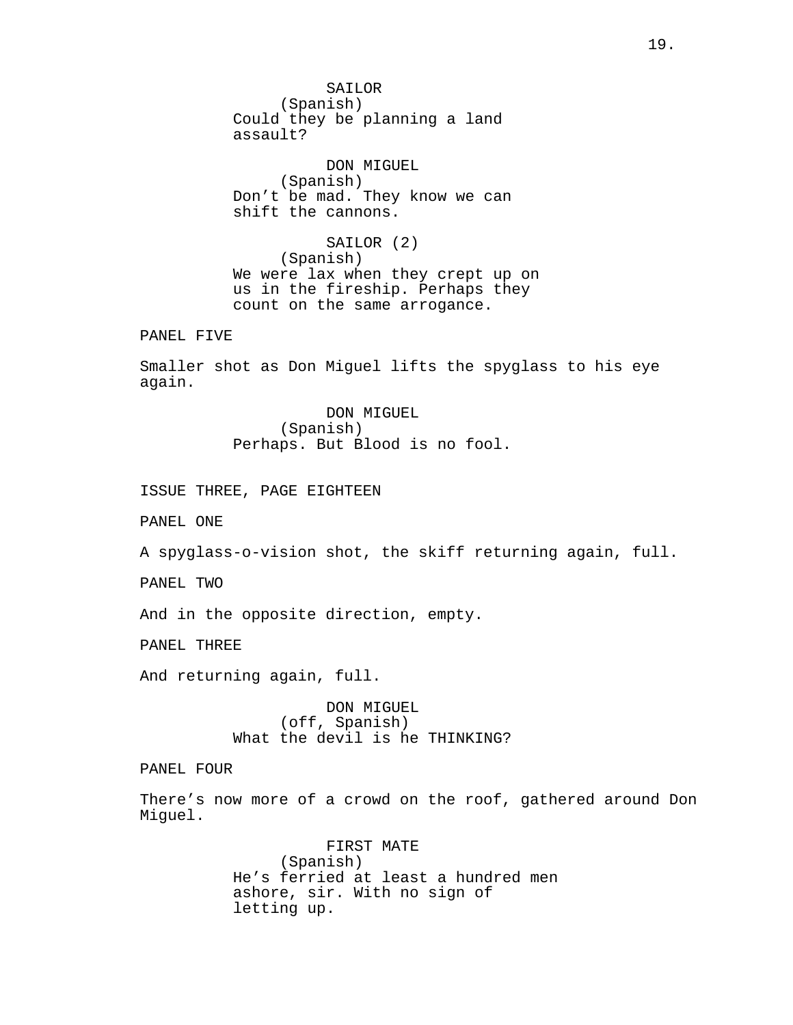SAILOR (Spanish) Could they be planning a land assault?

DON MIGUEL (Spanish) Don't be mad. They know we can shift the cannons.

SAILOR (2) (Spanish) We were lax when they crept up on us in the fireship. Perhaps they count on the same arrogance.

PANEL FIVE

Smaller shot as Don Miguel lifts the spyglass to his eye again.

> DON MIGUEL (Spanish) Perhaps. But Blood is no fool.

ISSUE THREE, PAGE EIGHTEEN

PANEL ONE

A spyglass-o-vision shot, the skiff returning again, full.

PANEL TWO

And in the opposite direction, empty.

PANEL THREE

And returning again, full.

DON MIGUEL (off, Spanish) What the devil is he THINKING?

PANEL FOUR

There's now more of a crowd on the roof, gathered around Don Miguel.

> FIRST MATE (Spanish) He's ferried at least a hundred men ashore, sir. With no sign of letting up.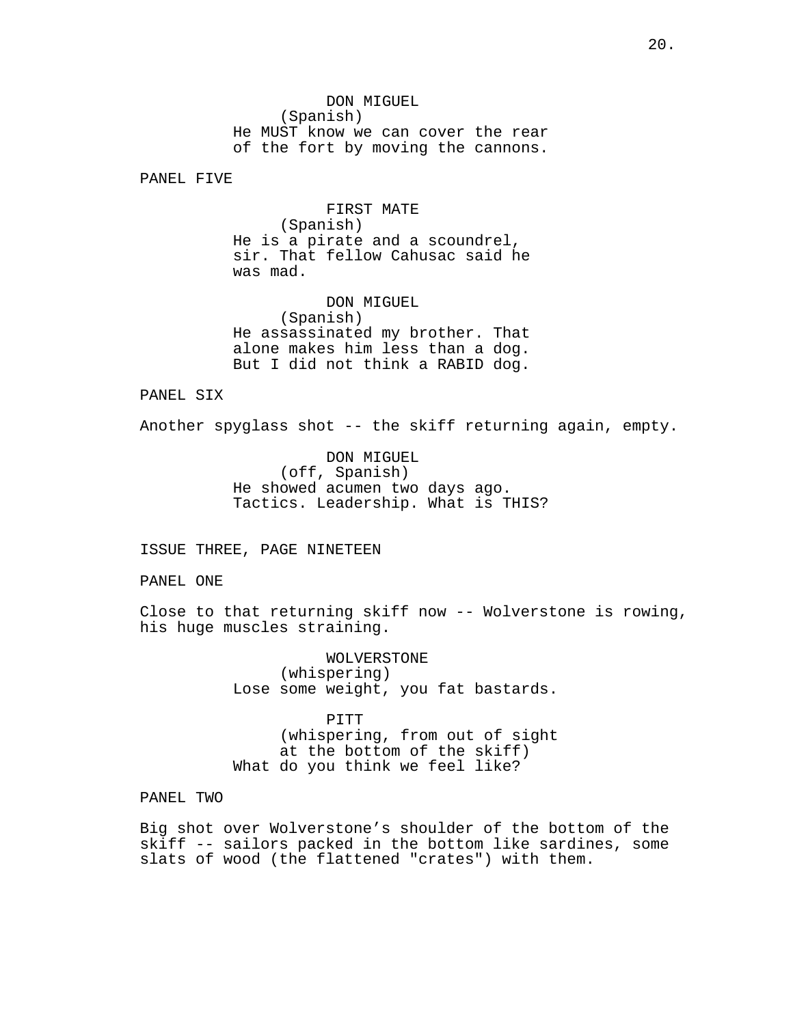DON MIGUEL (Spanish) He MUST know we can cover the rear of the fort by moving the cannons.

PANEL FIVE

FIRST MATE (Spanish) He is a pirate and a scoundrel, sir. That fellow Cahusac said he was mad.

DON MIGUEL (Spanish) He assassinated my brother. That alone makes him less than a dog. But I did not think a RABID dog.

PANEL SIX

Another spyglass shot -- the skiff returning again, empty.

DON MIGUEL (off, Spanish) He showed acumen two days ago. Tactics. Leadership. What is THIS?

ISSUE THREE, PAGE NINETEEN

PANEL ONE

Close to that returning skiff now -- Wolverstone is rowing, his huge muscles straining.

> WOLVERSTONE (whispering) Lose some weight, you fat bastards.

> PITT (whispering, from out of sight at the bottom of the skiff) What do you think we feel like?

PANEL TWO

Big shot over Wolverstone's shoulder of the bottom of the skiff -- sailors packed in the bottom like sardines, some slats of wood (the flattened "crates") with them.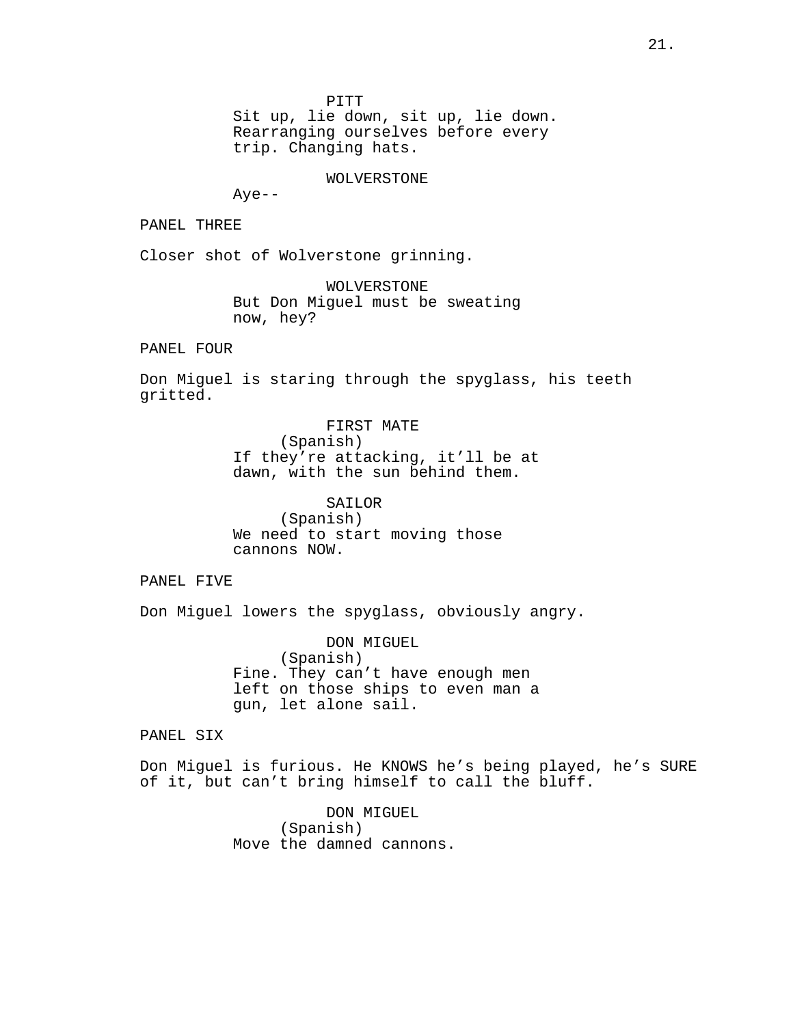PITT

Sit up, lie down, sit up, lie down. Rearranging ourselves before every trip. Changing hats.

WOLVERSTONE

Aye--

PANEL THREE

Closer shot of Wolverstone grinning.

WOLVERSTONE But Don Miguel must be sweating now, hey?

PANEL FOUR

Don Miguel is staring through the spyglass, his teeth gritted.

> FIRST MATE (Spanish) If they're attacking, it'll be at dawn, with the sun behind them.

SAILOR (Spanish) We need to start moving those cannons NOW.

PANEL FIVE

Don Miguel lowers the spyglass, obviously angry.

DON MIGUEL (Spanish) Fine. They can't have enough men left on those ships to even man a gun, let alone sail.

PANEL SIX

Don Miguel is furious. He KNOWS he's being played, he's SURE of it, but can't bring himself to call the bluff.

> DON MIGUEL (Spanish) Move the damned cannons.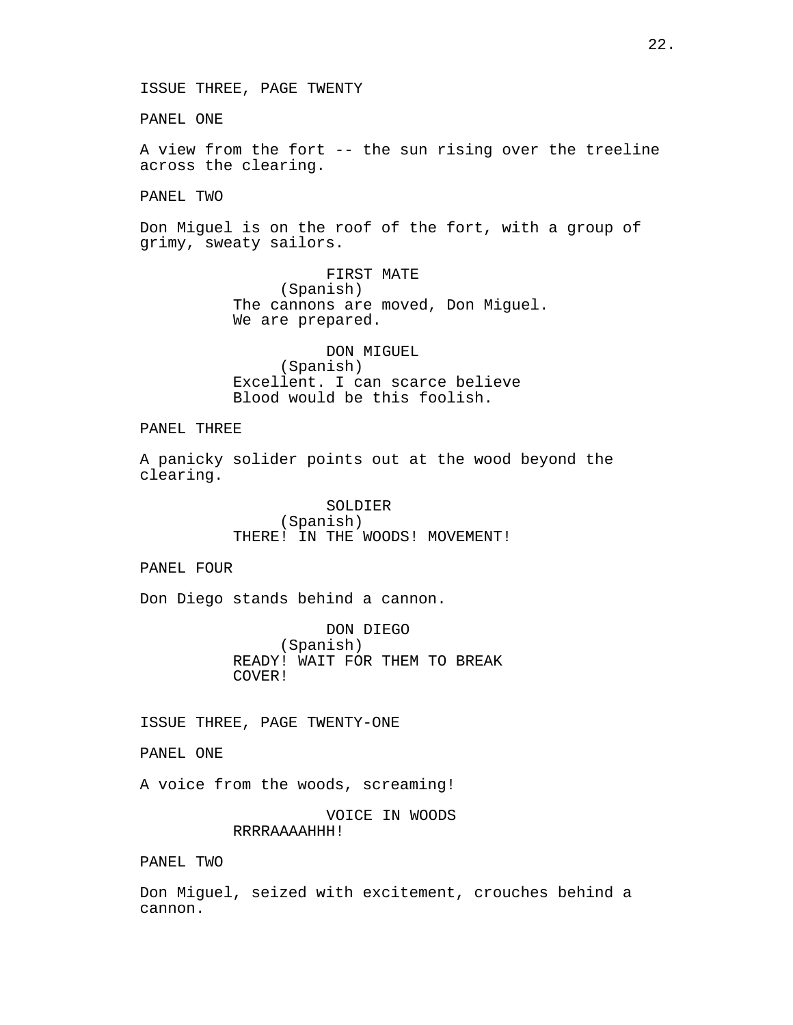PANEL ONE

A view from the fort -- the sun rising over the treeline across the clearing.

PANEL TWO

Don Miguel is on the roof of the fort, with a group of grimy, sweaty sailors.

> FIRST MATE (Spanish) The cannons are moved, Don Miguel. We are prepared.

DON MIGUEL (Spanish) Excellent. I can scarce believe Blood would be this foolish.

PANEL THREE

A panicky solider points out at the wood beyond the clearing.

> SOLDIER (Spanish) THERE! IN THE WOODS! MOVEMENT!

PANEL FOUR

Don Diego stands behind a cannon.

DON DIEGO (Spanish) READY! WAIT FOR THEM TO BREAK COVER!

ISSUE THREE, PAGE TWENTY-ONE

PANEL ONE

A voice from the woods, screaming!

VOICE IN WOODS RRRRAAAAHHH!

PANEL TWO

Don Miguel, seized with excitement, crouches behind a cannon.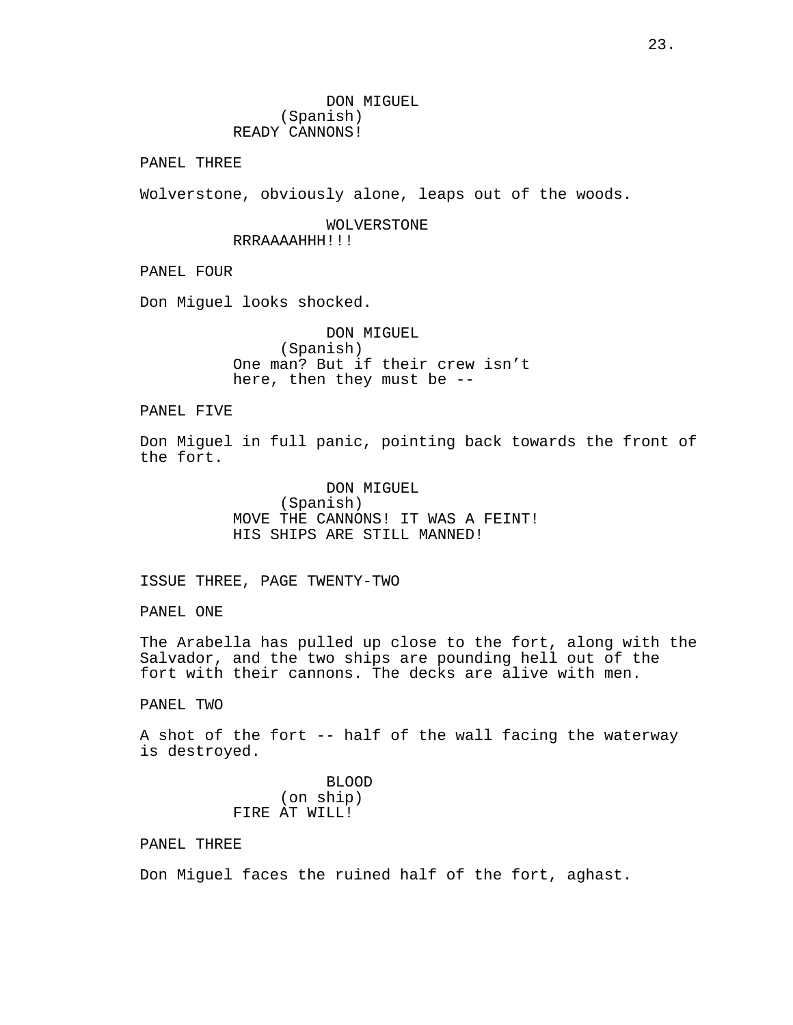DON MIGUEL (Spanish) READY CANNONS!

PANEL THREE

Wolverstone, obviously alone, leaps out of the woods.

WOLVERSTONE RRRAAAAHHH!!!

PANEL FOUR

Don Miguel looks shocked.

DON MIGUEL (Spanish) One man? But if their crew isn't here, then they must be --

PANEL FIVE

Don Miguel in full panic, pointing back towards the front of the fort.

> DON MIGUEL (Spanish) MOVE THE CANNONS! IT WAS A FEINT! HIS SHIPS ARE STILL MANNED!

ISSUE THREE, PAGE TWENTY-TWO

PANEL ONE

The Arabella has pulled up close to the fort, along with the Salvador, and the two ships are pounding hell out of the fort with their cannons. The decks are alive with men.

PANEL TWO

A shot of the fort -- half of the wall facing the waterway is destroyed.

> BLOOD (on ship) FIRE AT WILL!

PANEL THREE

Don Miguel faces the ruined half of the fort, aghast.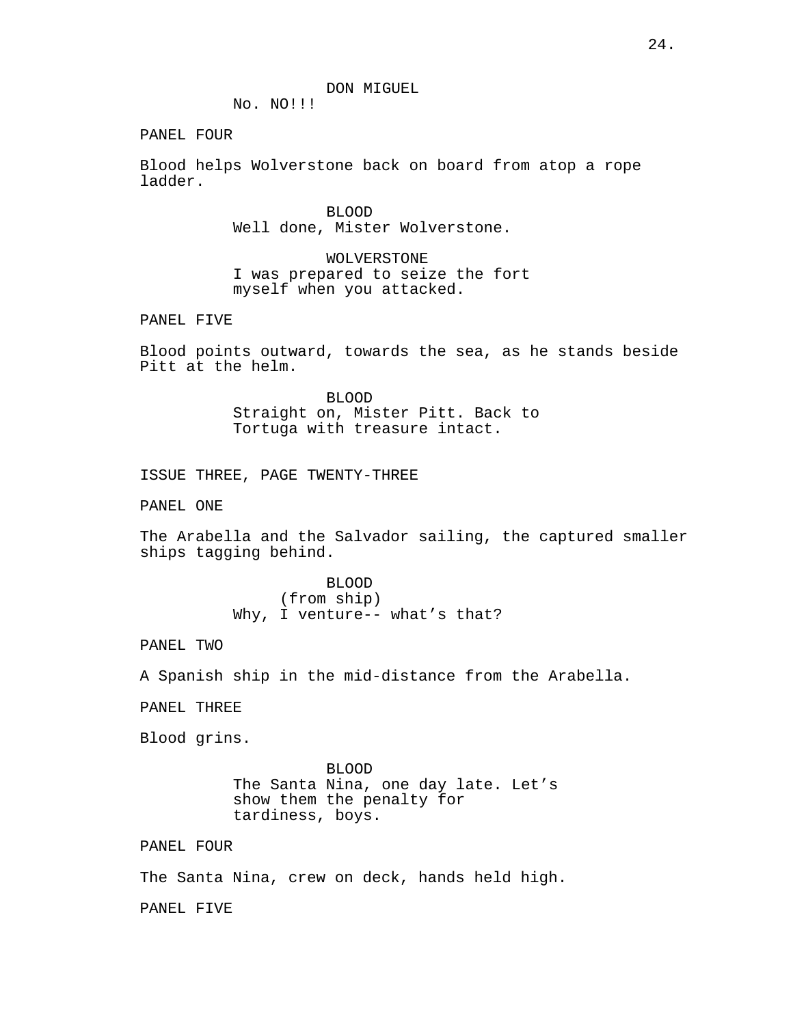No. NO!!!

PANEL FOUR

Blood helps Wolverstone back on board from atop a rope ladder.

> BLOOD Well done, Mister Wolverstone.

WOLVERSTONE I was prepared to seize the fort myself when you attacked.

PANEL FIVE

Blood points outward, towards the sea, as he stands beside Pitt at the helm.

> BLOOD Straight on, Mister Pitt. Back to Tortuga with treasure intact.

ISSUE THREE, PAGE TWENTY-THREE

PANEL ONE

The Arabella and the Salvador sailing, the captured smaller ships tagging behind.

> BLOOD (from ship) Why, I venture-- what's that?

PANEL TWO

A Spanish ship in the mid-distance from the Arabella.

PANEL THREE

Blood grins.

BLOOD The Santa Nina, one day late. Let's show them the penalty for tardiness, boys.

PANEL FOUR

The Santa Nina, crew on deck, hands held high.

PANEL FIVE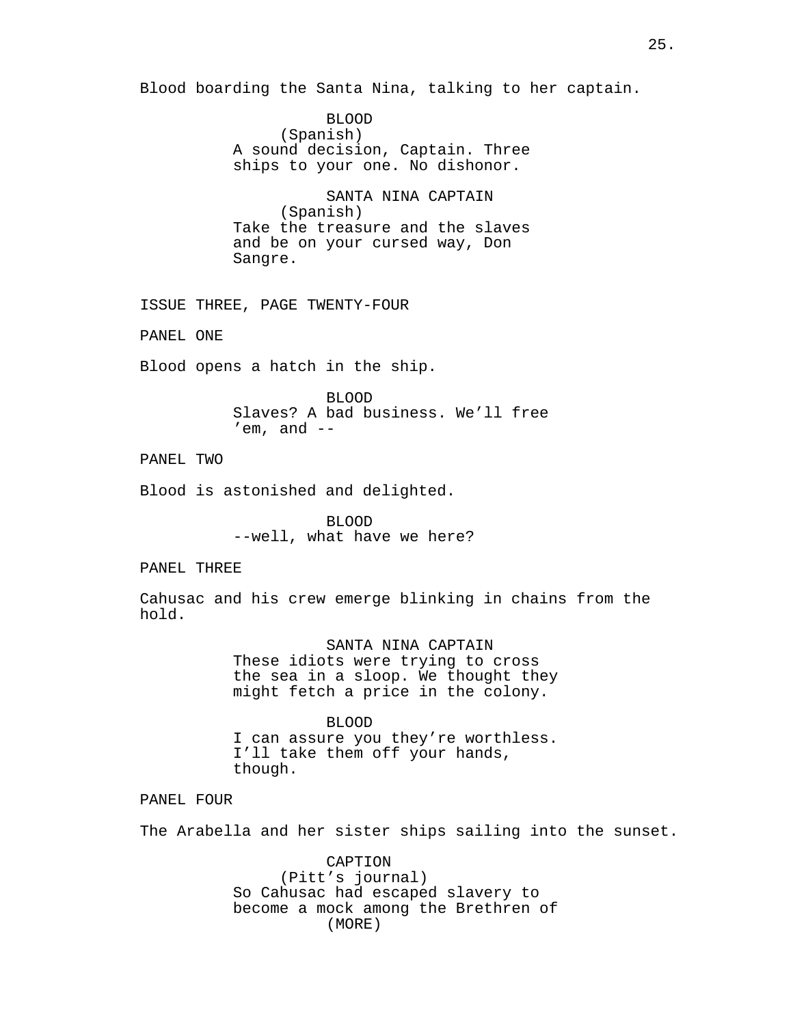Blood boarding the Santa Nina, talking to her captain.

BLOOD (Spanish) A sound decision, Captain. Three ships to your one. No dishonor.

SANTA NINA CAPTAIN (Spanish) Take the treasure and the slaves and be on your cursed way, Don Sangre.

ISSUE THREE, PAGE TWENTY-FOUR

PANEL ONE

Blood opens a hatch in the ship.

BLOOD Slaves? A bad business. We'll free  $'$ em, and  $-$ 

PANEL TWO

Blood is astonished and delighted.

BLOOD --well, what have we here?

PANEL THREE

Cahusac and his crew emerge blinking in chains from the hold.

> SANTA NINA CAPTAIN These idiots were trying to cross the sea in a sloop. We thought they might fetch a price in the colony.

BLOOD I can assure you they're worthless. I'll take them off your hands, though.

PANEL FOUR

The Arabella and her sister ships sailing into the sunset.

CAPTION (Pitt's journal) So Cahusac had escaped slavery to become a mock among the Brethren of (MORE)